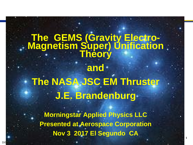# **The GEMS (Gravity Electro-Magnetism Super) Unification Theory and The NASA JSC EM Thruster J.E. Brandenburg**

**Morningstar Applied Physics LLC Presented at Aerospace Corporation Nov 3 2017 El Segundo CA**

**1**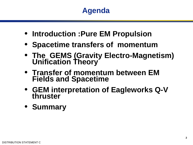- **Introduction :Pure EM Propulsion**
- **Spacetime transfers of momentum**
- **The GEMS (Gravity Electro-Magnetism) Unification Theory**
- **Transfer of momentum between EM Fields and Spacetime**
- **GEM interpretation of Eagleworks Q-V thruster**
- **Summary**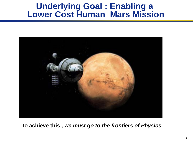### **Underlying Goal : Enabling a Lower Cost Human Mars Mission**



**To achieve this ,** *we must go to the frontiers of Physics*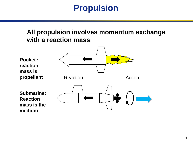# **Propulsion**

#### **All propulsion involves momentum exchange with a reaction mass**

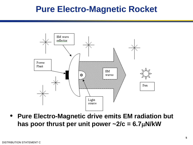# **Pure Electro-Magnetic Rocket**



• **Pure Electro-Magnetic drive emits EM radiation but**  has poor thrust per unit power  $\sim$ 2/c = 6.7 $\mu$ N/kW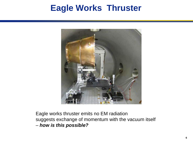# **Eagle Works Thruster**



Eagle works thruster emits no EM radiation suggests exchange of momentum with the vacuum itself – *how is this possible?*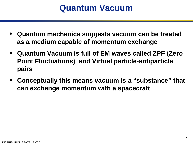# **Quantum Vacuum**

- **Quantum mechanics suggests vacuum can be treated as a medium capable of momentum exchange**
- **Quantum Vacuum is full of EM waves called ZPF (Zero Point Fluctuations) and Virtual particle-antiparticle pairs**
- **Conceptually this means vacuum is a "substance" that can exchange momentum with a spacecraft**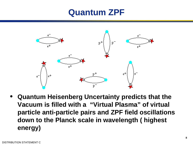# **Quantum ZPF**



• **Quantum Heisenberg Uncertainty predicts that the Vacuum is filled with a "Virtual Plasma" of virtual particle anti-particle pairs and ZPF field oscillations down to the Planck scale in wavelength ( highest energy)**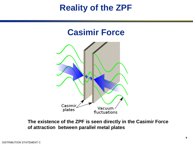# **Reality of the ZPF**





**The existence of the ZPF is seen directly in the Casimir Force of attraction between parallel metal plates**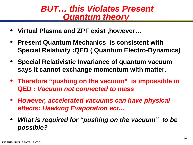### *BUT… this Violates Present Quantum theory*

- **Virtual Plasma and ZPF exist ,however…**
- **Present Quantum Mechanics is consistent with Special Relativity :QED ( Quantum Electro-Dynamics)**
- **Special Relativistic Invariance of quantum vacuum says it cannot exchange momentum with matter.**
- **Therefore "pushing on the vacuum" is impossible in QED :** *Vacuum not connected to mass*
- *However, accelerated vacuums can have physical effects: Hawking Evaporation ect…*
- *What is required for "pushing on the vacuum" to be possible?*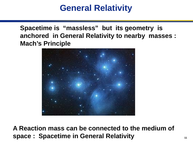# **General Relativity**

**Spacetime is "massless" but its geometry is anchored in General Relativity to nearby masses : Mach's Principle**



**A Reaction mass can be connected to the medium of space : Spacetime in General Relativity**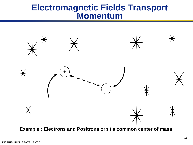### **Electromagnetic Fields Transport Momentum**



**Example : Electrons and Positrons orbit a common center of mass**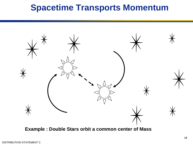# **Spacetime Transports Momentum**



**Example : Double Stars orbit a common center of Mass**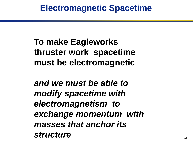**To make Eagleworks thruster work spacetime must be electromagnetic** 

*and we must be able to modify spacetime with electromagnetism to exchange momentum with masses that anchor its structure*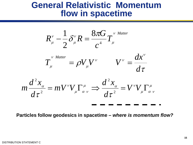### **General Relativistic Momentum flow in spacetime**



**Particles follow geodesics in spacetime –** *where is momentum flow?*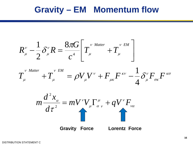## **Gravity – EM Momentum flow**

$$
R_{\mu}^{\nu} - \frac{1}{2} \delta_{\mu}^{\nu} R = \frac{8 \pi G}{c^4} \left[ T_{\mu}^{\nu \text{ Matter}} + T_{\mu}^{\nu \text{ EM}} \right]
$$

$$
T_{\mu}^{V^{Matter}} + T_{\mu}^{V^{EM}} = \rho V_{\mu} V^{V} + F_{\mu\kappa} F^{\kappa\nu} - \frac{1}{4} \delta^{\nu}_{\mu} F_{\sigma\kappa} F^{\kappa\sigma}
$$

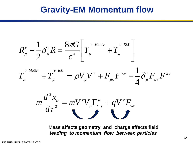### **Gravity-EM Momentum flow**

$$
R_{\mu}^{\nu} - \frac{1}{2} \delta_{\mu}^{\nu} R = \frac{8 \pi G}{c^4} \left[ T_{\mu}^{\nu \text{ Matter}} + T_{\mu}^{\nu \text{ EM}} \right]
$$

$$
T_{\mu}^{V^{Matter}} + T_{\mu}^{V^{EM}} = \rho V_{\mu} V^{V} + F_{\mu} F^{\kappa V} - \frac{1}{4} \delta_{\mu}^{V} F_{\sigma \kappa} F^{\kappa \sigma}
$$

$$
m\frac{d^2x_{\alpha}}{d\tau^2}=mV^{\nu}V_{\mu}\Gamma^{\mu}_{\alpha\nu}+qV^{\nu}F_{\nu\alpha}
$$

**Mass affects geometry and charge affects field**  *leading to momentum flow between particles*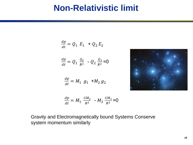## **Non-Relativistic limit**

$$
\frac{dp}{dt} = Q_1 E_1 + Q_2 E_2
$$

$$
\frac{dp}{dt} = Q_1 \; \frac{Q_2}{R^2} \; - Q_2 \; \frac{Q_1}{R^2} = 0
$$

$$
\frac{dp}{dt} = M_1 \ g_1 + M_2 \ g_2
$$



$$
\frac{dp}{dt} = M_1 \frac{GM_2}{R^2} - M_2 \frac{GM_1}{R^2} = 0
$$

Gravity and Electromagnetically bound Systems Conserve system momentum similarly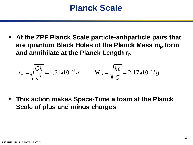## **Planck Scale**

• **At the ZPF Planck Scale particle-antiparticle pairs that**  are quantum Black Holes of the Planck Mass m<sub>p</sub> form and annihilate at the Planck Length r<sub>P</sub>

$$
r_{P} = \sqrt{\frac{G\hbar}{c^{3}}} = 1.61x10^{-35}m \qquad M_{P} = \sqrt{\frac{\hbar c}{G}} = 2.17x10^{-8}kg
$$

• **This action makes Space-Time a foam at the Planck Scale of plus and minus charges**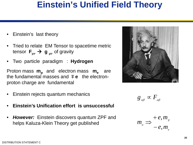# **Einstein's Unified Field Theory**

- Einstein's last theory
- Tried to relate EM Tensor to spacetime metric tensor  $\mathbf{F}_{uv} \rightarrow \mathbf{g}_{uv}$  of gravity
- Two particle paradigm : **Hydrogen**

Proton mass **m**<sub>n</sub> and electron mass **m**<sub>n</sub> are the fundamental masses and  $\mp e$  the electronproton charge are fundamental

- Einstein rejects quantum mechanics
- **Einstein's Unification effort is unsuccessful**
- *However:* Einstein discovers quantum ZPF and helps Kaluza-Klein Theory get published



 $g_{_{\alpha\beta}} \propto F_{_{\alpha\beta}}$ 

*e p*  $e^{-\theta}$  *– e, m e m m* , , − + ⇒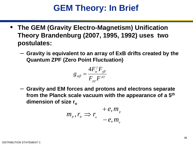# **GEM Theory: In Brief**

- **The GEM (Gravity Electro-Magnetism) Unification Theory Brandenburg (2007, 1995, 1992) uses two postulates:**
	- **Gravity is equivalent to an array of ExB drifts created by the Quantum ZPF (Zero Point Fluctuation)**

$$
g_{\alpha\beta}=\frac{4F_{\alpha}^{\gamma}F_{\gamma\beta}}{F_{\mu\gamma}F^{\mu\gamma}}
$$

– **Gravity and EM forces and protons and electrons separate from the Planck scale vacuum with the appearance of a 5th** dimension of size r<sub>o</sub>

$$
m_p, r_p \Rightarrow r_o^+ = e, m_p^-
$$
  

$$
-e, m_e^-
$$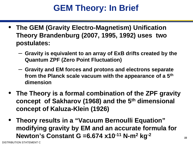# **GEM Theory: In Brief**

- **The GEM (Gravity Electro-Magnetism) Unification Theory Brandenburg (2007, 1995, 1992) uses two postulates:**
	- **Gravity is equivalent to an array of ExB drifts created by the Quantum ZPF (Zero Point Fluctuation)**
	- **Gravity and EM forces and protons and electrons separate from the Planck scale vacuum with the appearance of a 5th dimension**
- **The Theory is a formal combination of the ZPF gravity concept of Sakharov (1968) and the 5th dimensional concept of Kaluza-Klein (1926)**
- **Theory results in a "Vacuum Bernoulli Equation" modifying gravity by EM and an accurate formula for Newton's Constant G =6.674 x10-11 N-m2 kg-2**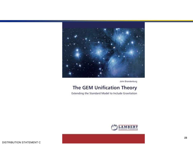

John Brandenburg

#### The GEM Unification Theory

Extending the Standard Model to Include Gravitation

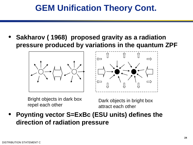# **GEM Unification Theory Cont.**

• **Sakharov ( 1968) proposed gravity as a radiation pressure produced by variations in the quantum ZPF**



Bright objects in dark box



Bright objects in dark box<br>repel each other each other attract each other attract each other

• **Poynting vector S=ExBc (ESU units) defines the direction of radiation pressure**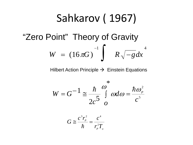# Sahkarov ( 1967)  $W = (16 \pi G)^{-1} \int R \sqrt{-g} dx$ <sup>4</sup>  $\pi$ "Zero Point" Theory of Gravity

Hilbert Action Principle  $\rightarrow$  Einstein Equations

$$
W = G^{-1} \cong \frac{\hbar}{2c^5} \int_{0}^{\infty} \omega d\omega = \frac{\hbar \omega_P^2}{c^5}
$$

$$
G \cong \frac{c^3 r_p^2}{\hbar} = \frac{c^4}{r_p^2 T_o}
$$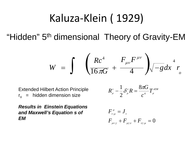# Kaluza-Klein ( 1929)

"Hidden" 5<sup>th</sup> dimensional Theory of Gravity-EM

$$
W = \int \left( \frac{Rc^4}{16\pi G} + \frac{F_{\mu\nu}F^{\mu\nu}}{4} \right) \sqrt{-g} dx^4 r
$$

**Extended Hilbert Action Principle**  $r_{o}$  = hidden dimension size

$$
R_{\scriptscriptstyle \mu}^{\scriptscriptstyle \nu} - \frac{1}{2} \mathcal{S}_{\scriptscriptstyle \mu}^{\scriptscriptstyle \nu} R = \frac{8\pi G}{c^{\scriptscriptstyle 4}} T_{\scriptscriptstyle \mu}^{\scriptscriptstyle \nu\scriptscriptstyle E\scriptscriptstyle M}
$$

*Results in Einstein Equations and Maxwell's Equation s of EM*

$$
F^{\mu}_{\nu;\mu} = J_{\nu}
$$
  

$$
F_{\mu\nu;\gamma} + F_{\mu\gamma;\nu} + F_{\nu\gamma;\mu} = 0
$$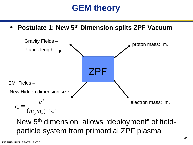# **GEM theory**

• **Postulate 1: New 5th Dimension splits ZPF Vacuum**



New 5th dimension allows "deployment" of fieldparticle system from primordial ZPF plasma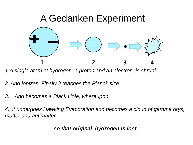

*1.A single atom of hydrogen, a proton and an electron, is shrunk*

*2. And ionizes. Finally it reaches the Planck size*

*3. And becomes a Black Hole, whereupon,*

*4., it undergoes Hawking Evaporation and becomes a cloud of gamma rays, matter and antimatter*

*so that original hydrogen is lost.*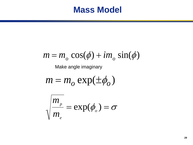### **Mass Model**

$$
m = m_o \cos(\phi) + im_o \sin(\phi)
$$

Make angle imaginary

$$
m = m_o \exp(\pm \phi_o)
$$

$$
\sqrt{\frac{m_{p}}{m_{e}}} = \exp(\phi_{o}) = \sigma
$$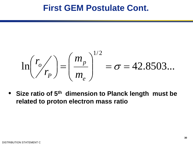### **First GEM Postulate Cont.**

$$
\ln\left(\frac{r_o}{r_p}\right) = \left(\frac{m_p}{m_e}\right)^{1/2} = \sigma = 42.8503...
$$

• **Size ratio of 5th dimension to Planck length must be related to proton electron mass ratio**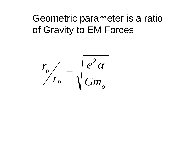# Geometric parameter is a ratio of Gravity to EM Forces

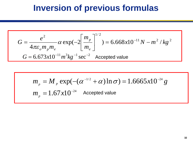# **Inversion of previous formulas**

$$
G = \frac{e^2}{4\pi\varepsilon_o m_p m_e} \alpha \exp(-2\left[\frac{m_p}{m_e}\right]^{1/2}) = 6.668 \times 10^{-11} N - m^2 / kg^2
$$
  

$$
G = 6.673 \times 10^{-11} m^3 kg^{-1} sec^{-2}
$$
Accepted value

$$
m_{p} = M_{p} \exp(-( \alpha^{-1/2} + \alpha) \ln \sigma) = 1.6665 \times 10^{-24} g
$$
  

$$
m_{p} = 1.67 \times 10^{-24}
$$
Accepted value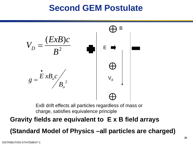# **Second GEM Postulate**



ExB drift effects all particles regardless of mass or charge, satisfies equivalence principle

#### **Gravity fields are equivalent to E x B field arrays**

**(Standard Model of Physics –all particles are charged)**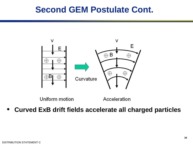### **Second GEM Postulate Cont.**



Uniform motion

Acceleration

• **Curved ExB drift fields accelerate all charged particles**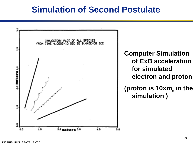### **Simulation of Second Postulate**

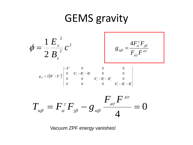# GEMS gravity



Vacuum ZPF energy vanishes!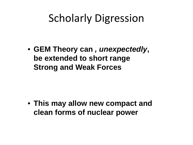# Scholarly Digression

• **GEM Theory can** *, unexpectedly***, be extended to short range Strong and Weak Forces** 

• **This may allow new compact and clean forms of nuclear power**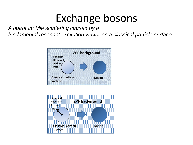# Exchange bosons

*A quantum Mie scattering caused by a*

*fundamental resonant excitation vector on a classical particle surface*



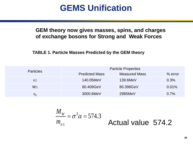# **GEMS Unification**

#### **GEM theory now gives masses, spins, and charges of exchange bosons for Strong and Weak Forces**

**TABLE 1. Particle Masses Predicted by the GEM theory**

| <b>Particles</b> | <b>Particle Properties</b> |                      |           |
|------------------|----------------------------|----------------------|-----------|
|                  | <b>Predicted Mass</b>      | <b>Measured Mass</b> | $%$ error |
| $\pi$ $\pm$      | 140.05MeV                  | 139.6MeV             | 0.3%      |
| $W_{\pm}$        | 80.409GeV                  | 80.398GeV            | $0.01\%$  |
| $\eta_c$         | 3000.6MeV                  | 2985MeV              | 0.7%      |

$$
\frac{M_{w}}{m_{\pi\pm}} = \sigma^3 \alpha = 574.3
$$
Actual value 574.2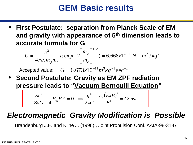# **GEM Basic results**

• **First Postulate: separation from Planck Scale of EM and gravity with appearance of 5th dimension leads to accurate formula for G**

$$
G = \frac{e^2}{4\pi\varepsilon_o m_p m_e} \alpha \exp(-2\left[\frac{m_p}{m_e}\right]^{1/2}) = 6.668 \times 10^{-11} N - m^2 / kg^2
$$

Accepted value:  $G = 6.673 x 10^{-11} m^3 kg^{-1} sec^{-2}$ 

• **Second Postulate: Gravity as EM ZPF radiation pressure leads to "Vacuum Bernoulli Equation"**

$$
\frac{Rc^4}{8\pi G}-\frac{1}{4}F_{\nu\mu}F^{\nu\mu}=0 \Rightarrow \frac{g^2}{2\pi G}-\frac{\varepsilon_c (ExB)^2}{B^2}=Const.
$$

### *Electromagnetic Gravity Modification is Possible*

Brandenburg J.E. and Kline J. (1998) , Joint Propulsion Conf. AAIA-98-3137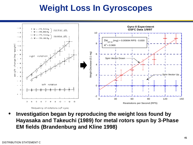# **Weight Loss In Gyroscopes**



• **Investigation began by reproducing the weight loss found by Hayasaka and Takeuchi (1989) for metal rotors spun by 3-Phase EM fields (Brandenburg and Kline 1998)**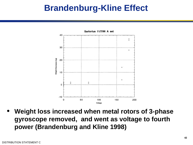# **Brandenburg-Kline Effect**



• **Weight loss increased when metal rotors of 3-phase gyroscope removed, and went as voltage to fourth power (Brandenburg and Kline 1998)**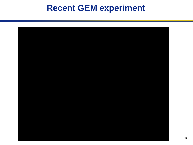# **Recent GEM experiment**

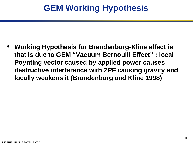• **Working Hypothesis for Brandenburg-Kline effect is that is due to GEM "Vacuum Bernoulli Effect" : local Poynting vector caused by applied power causes destructive interference with ZPF causing gravity and locally weakens it (Brandenburg and Kline 1998)**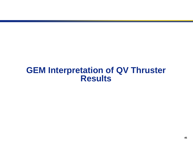### **GEM Interpretation of QV Thruster Results**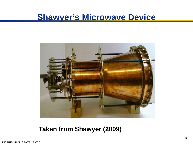### **Shawyer's Microwave Device**



**Taken from Shawyer (2009)**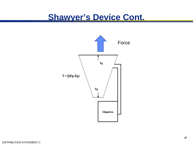### **Shawyer's Device Cont.**

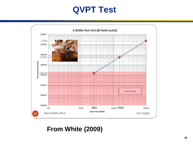# **QVPT Test**



#### **From White (2009)**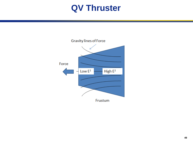# **QV Thruster**

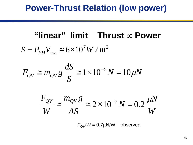# **Power-Thrust Relation (low power)**

## **"linear" limit Thrust** ∝ **Power**

 $S = P_{EM}V_{esc} \cong 6 \times 10^7 W/m^2$ 

$$
F_{QV} \cong m_{QV} g \frac{dS}{S} \cong 1 \times 10^{-5} N = 10 \,\mu\text{N}
$$

$$
\frac{F_{QV}}{W} \approx \frac{m_{QV}g}{AS} \approx 2 \times 10^{-7} N = 0.2 \frac{\mu N}{W}
$$

 $F_{\text{QV}}/W = 0.7 \mu\text{N/W}$  observed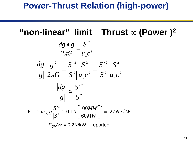# **Power-Thrust Relation (high-power)**

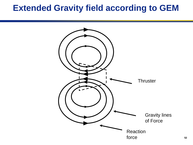### **Extended Gravity field according to GEM**

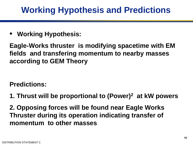# **Working Hypothesis and Predictions**

• **Working Hypothesis:** 

**Eagle-Works thruster is modifying spacetime with EM fields and transfering momentum to nearby masses according to GEM Theory**

**Predictions:** 

**1. Thrust will be proportional to (Power)2 at kW powers**

**2. Opposing forces will be found near Eagle Works Thruster during its operation indicating transfer of momentum to other masses**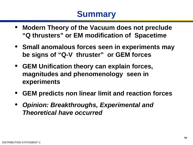# **Summary**

- **Modern Theory of the Vacuum does not preclude "Q thrusters" or EM modification of Spacetime**
- **Small anomalous forces seen in experiments may be signs of "Q-V thruster" or GEM forces**
- **GEM Unification theory can explain forces, magnitudes and phenomenology seen in experiments**
- **GEM predicts non linear limit and reaction forces**
- *Opinion: Breakthroughs, Experimental and Theoretical have occurred*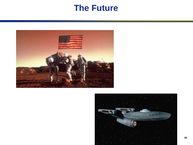### **The Future**



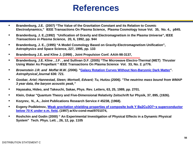### **References**

- **Brandenburg, J.E. (2007) "The Value of the Gravitation Constant and its Relation to Cosmic Electrodynamics," IEEE Transactions On Plasma Science, Plasma Cosmology Issue Vol. 35, No. 4., p845.**
- **Brandenburg, J. E.,(1992) "Unification of Gravity and Electromagnetism in the Plasma Universe", IEEE**  *Transactions in Plasma Science***, 20, 6, 1992, pp. 944**
- **Brandenburg, J. E., (1995) "A Model Cosmology Based on Gravity-Electromagnetism Unification", Astrophysics and Space Science, 227, 1995, pp. 133**
- **Brandenburg J.E. and Kline J. (1998) , Joint Propulsion Conf. AAIA-98-3137,**
- **Brandenburg, J.E. Kline , J.F. , and Sullivan D.F. (2005) "The Microwave Electro-Thermal (MET) Thruster Using Water As Propellant " IEEE Transactions On Plasma Science Vol. 33, No. 2. p776.**
- *Brownstein J.R. and Moffat M.W. (2006).* **["Galaxy Rotation Curves Without Non-Baryonic Dark Matter"](http://www.journals.uchicago.edu/ApJ/journal/issues/ApJ/v636n2/63031/brief/63031.abstract.html).**  *Astrophysical Journal 636: 721.*
- *Goobar, Ariel; Hannestad, Steen; Mortsell, Edvard; Tu, Huitzu (2006). "The neutrino mass bound from WMAP 3 year data, the baryon acoustic peak,"*
- **Hayasaka, Hideo, and Takeuchi, Sakae, Phys. Rev. Letters, 63, 25, 1989, pp. 2701.**
- **Klein, Oskar "Quantum Theory and Five-Dimensional Relativity Zeitschrift fur Physik, 37, 895, (1926).**
- **Kozyrev, N., A., Joint Publications Research Service # 45238, (1968).**
- **Evgeny Podkletnov, [Weak gravitation shielding properties of composite bulk Y Ba2Cu3O7−x superconductor](http://arxiv.org/abs/cond-mat/9701074)  below 70 K under e.m. field, (1997) arXiv:cond-mat/9701074,**
- **Roshchin and Godin (2000) " An Experimental Investigation of Physical Effects in a Dynamic Physical System" Tech. Phys. Lett. , 26, 12, pp. 1105**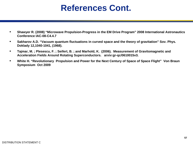# **References Cont.**

- **Shawyer R. (2008) "Microwave Propulsion-Progress in the EM Drive Program" 2008 International Astronautics Conference IAC-08-C4.4.7**
- **Sakharov A.D. "Vacuum quantum fluctuations in curved space and the theory of gravitation" Sov. Phys. Doklady 12,1040-1041, (1968).**
- **Tajmar, M. ; Plesescu, F. ; Seifert, B. ; and Marhold, K. (2006). Measurement of Gravitomagnetic and Acceleration Fields Around Rotating Superconductors. arxiv:gr-qc/0610015v3.**
- **White H. "Revolutionary Propulsion and Power for the Next Century of Space of Space Flight" Von Braun Symposium Oct 2009**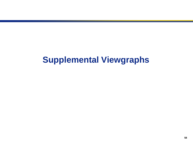# **Supplemental Viewgraphs**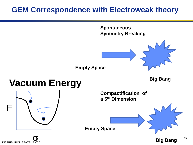### **GEM Correspondence with Electroweak theory**

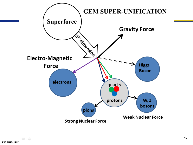